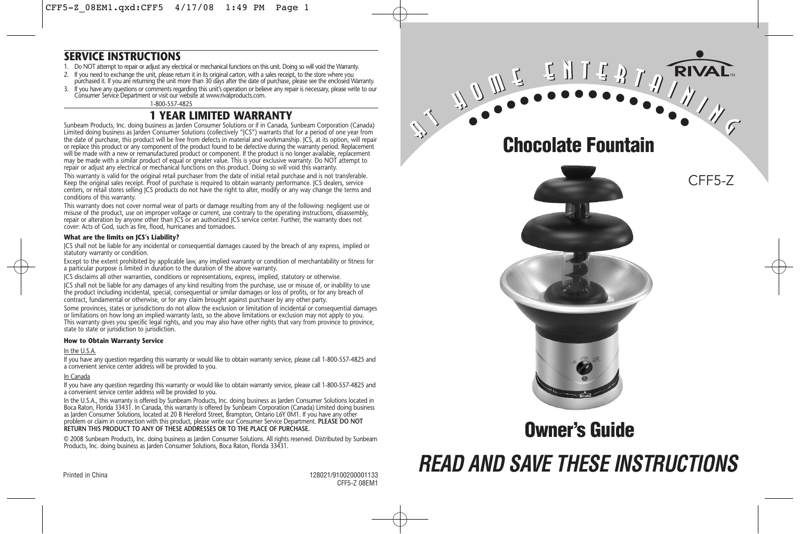#### **SERVICE INSTRUCTIONS**

- 1. Do NOT attempt to repair or adjust any electrical or mechanical functions on this unit. Doing so will void the Warranty.
- If you need to exchange the unit, please return it in its original carton, with a sales receipt, to the store where you<br>purchased it. If you are returning the unit more than 30 days after the date of purchase, please see t
- 3. If you have any questions or comments regarding this unit's operation or believe any repair is necessary, please write to our<br>Consumer Service Department or visit our website at www.rivalproducts.com.

1-800-557-4825

#### **1 YEAR LIMITED WARRANTY**

Sunbeam Products, Inc. doing business as Jarden Consumer Solutions or if in Canada, Sunbeam Corporation (Canada) Limited doing business as Jarden Consumer Solutions (collectively "JCS") warrants that for a period of one year from the date of purchase, this product will be free from defects in material and workmanship. JCS, at its option, will repair or replace this product or any component of the product found to be defective during the warranty period. Replacement will be made with a new or remanufactured product or component. If the product is no longer available, replacement may be made with a similar product of equal or greater value. This is your exclusive warranty. Do NOT attempt to repair or adjust any electrical or mechanical functions on this product. Doing so will void this warranty. This warranty is valid for the original retail purchaser from the date of initial retail purchase and is not transferable. Keep the original sales receipt. Proof of purchase is required to obtain warranty performance. JCS dealers, service centers, or retail stores selling JCS products do not have the right to alter, modify or any way change the terms and conditions of this warranty.

This warranty does not cover normal wear of parts or damage resulting from any of the following: negligent use or misuse of the product, use on improper voltage or current, use contrary to the operating instructions, disassembly, repair or alteration by anyone other than JCS or an authorized JCS service center. Further, the warranty does not cover: Acts of God, such as fire, flood, hurricanes and tornadoes.

#### **What are the limits on JCS's Liability?**

JCS shall not be liable for any incidental or consequential damages caused by the breach of any express, implied or statutory warranty or condition.

Except to the extent prohibited by applicable law, any implied warranty or condition of merchantability or fitness for a particular purpose is limited in duration to the duration of the above warranty.

ICS disclaims all other warranties, conditions or representations, express, implied, statutory or otherwise.

JCS shall not be liable for any damages of any kind resulting from the purchase, use or misuse of, or inability to use the product including incidental, special, consequential or similar damages or loss of profits, or for any breach of contract, fundamental or otherwise, or for any claim brought against purchaser by any other party.

Some provinces, states or jurisdictions do not allow the exclusion or limitation of incidental or consequential damages or limitations on how long an implied warranty lasts, so the above limitations or exclusion may not apply to you. This warranty gives you specific legal rights, and you may also have other rights that vary from province to province, state to state or jurisdiction to jurisdiction.

#### **How to Obtain Warranty Service**

#### In the U.S.A.

If you have any question regarding this warranty or would like to obtain warranty service, please call 1-800-557-4825 and a convenient service center address will be provided to you.

#### In Canada

If you have any question regarding this warranty or would like to obtain warranty service, please call 1-800-557-4825 and a convenient service center address will be provided to you.

In the U.S.A., this warranty is offered by Sunbeam Products, Inc. doing business as Jarden Consumer Solutions located in Boca Raton, Florida 33431. In Canada, this warranty is offered by Sunbeam Corporation (Canada) Limited doing business as Jarden Consumer Solutions, located at 20 B Hereford Street, Brampton, Ontario L6Y 0M1. If you have any other problem or claim in connection with this product, please write our Consumer Service Department. **PLEASE DO NOT RETURN THIS PRODUCT TO ANY OF THESE ADDRESSES OR TO THE PLACE OF PURCHASE.** 

© 2008 Sunbeam Products, Inc. doing business as Jarden Consumer Solutions. All rights reserved. Distributed by Sunbeam Products, Inc. doing business as Jarden Consumer Solutions, Boca Raton, Florida 33431.

**Chocolate Fountain**

CFF5-Z

RIVAL



## **Owner's Guide**

# **READ AND SAVE THESE INSTRUCTIONS**

Printed in China 128021/9100200001133 CFF5-Z 08EM1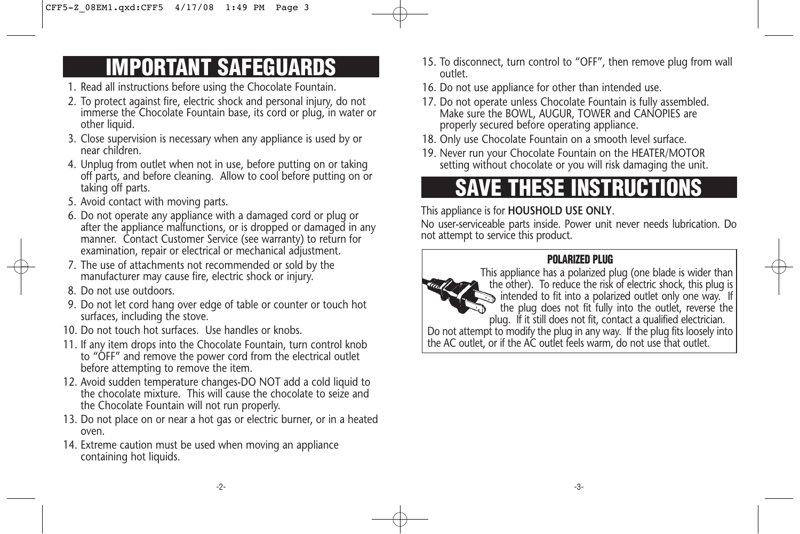# **IMPORTANT SAFEGUARDS**

- 1. Read all instructions before using the Chocolate Fountain.
- 2. To protect against fire, electric shock and personal injury, do not immerse the Chocolate Fountain base, its cord or plug, in water or other liquid.
- 3. Close supervision is necessary when any appliance is used by or near children.
- 4. Unplug from outlet when not in use, before putting on or taking off parts, and before cleaning. Allow to cool before putting on or taking off parts.
- 5. Avoid contact with moving parts.
- 6. Do not operate any appliance with a damaged cord or plug or after the appliance malfunctions, or is dropped or damaged in any manner. Contact Customer Service (see warranty) to return for examination, repair or electrical or mechanical adjustment.
- 7. The use of attachments not recommended or sold by the manufacturer may cause fire, electric shock or injury.
- 8. Do not use outdoors.
- 9. Do not let cord hang over edge of table or counter or touch hot surfaces, including the stove.
- 10. Do not touch hot surfaces. Use handles or knobs.
- 11. If any item drops into the Chocolate Fountain, turn control knob to "OFF" and remove the power cord from the electrical outlet before attempting to remove the item.
- 12. Avoid sudden temperature changes-DO NOT add a cold liquid to the chocolate mixture. This will cause the chocolate to seize and the Chocolate Fountain will not run properly.
- 13. Do not place on or near a hot gas or electric burner, or in a heated oven.
- 14. Extreme caution must be used when moving an appliance containing hot liquids.
- 15. To disconnect, turn control to "OFF", then remove plug from wall outlet.
- 16. Do not use appliance for other than intended use.
- 17. Do not operate unless Chocolate Fountain is fully assembled. Make sure the BOWL, AUGUR, TOWER and CANOPIES are properly secured before operating appliance.
- 18. Only use Chocolate Fountain on a smooth level surface.
- 19. Never run your Chocolate Fountain on the HEATER/MOTOR setting without chocolate or you will risk damaging the unit.

# **SAVE THESE INSTRUCTIONS**

### This appliance is for **HOUSHOLD USE ONLY**.

No user-serviceable parts inside. Power unit never needs lubrication. Do not attempt to service this product.

### **POLARIZED PLUG**

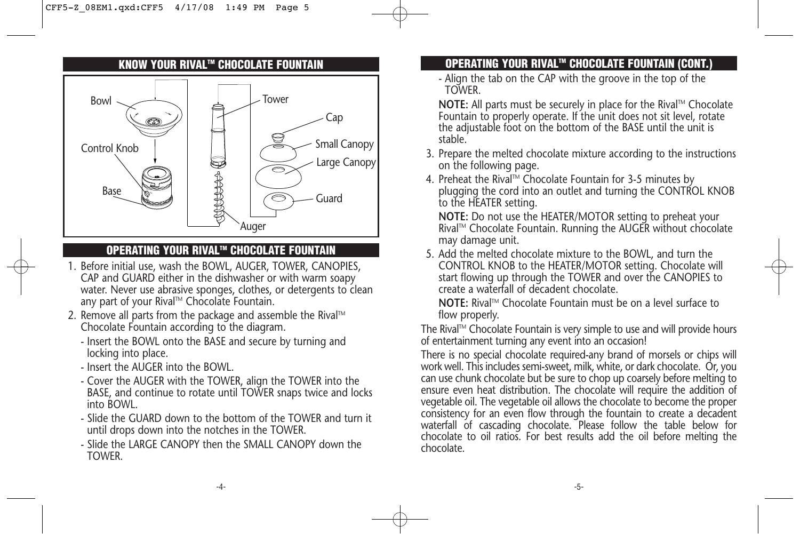#### **KNOW YOUR RIVALTM CHOCOLATE FOUNTAIN**



#### **OPERATING YOUR RIVALTM CHOCOLATE FOUNTAIN**

- 1. Before initial use, wash the BOWL, AUGER, TOWER, CANOPIES, CAP and GUARD either in the dishwasher or with warm soapy water. Never use abrasive sponges, clothes, or detergents to clean any part of your Rival™ Chocolate Fountain.
- 2. Remove all parts from the package and assemble the Rival<sup>TM</sup> Chocolate Fountain according to the diagram.
	- Insert the BOWL onto the BASE and secure by turning and locking into place.
	- Insert the AUGER into the BOWL.
	- Cover the AUGER with the TOWER, align the TOWER into the BASE, and continue to rotate until TOWER snaps twice and locks into BOWL.
	- Slide the GUARD down to the bottom of the TOWER and turn it until drops down into the notches in the TOWER.
	- Slide the LARGE CANOPY then the SMALL CANOPY down the TOWER.

### **OPERATING YOUR RIVALTM CHOCOLATE FOUNTAIN (CONT.)**

- Align the tab on the CAP with the groove in the top of the TOWER.

**NOTE:** All parts must be securely in place for the Rival™ Chocolate Fountain to properly operate. If the unit does not sit level, rotate the adjustable foot on the bottom of the BASE until the unit is stable.

- 3. Prepare the melted chocolate mixture according to the instructions on the following page.
- 4. Preheat the Rival™ Chocolate Fountain for 3-5 minutes by plugging the cord into an outlet and turning the CONTROL KNOB to the HEATER setting.

**NOTE:** Do not use the HEATER/MOTOR setting to preheat your RivalTM Chocolate Fountain. Running the AUGER without chocolate may damage unit.

5. Add the melted chocolate mixture to the BOWL, and turn the CONTROL KNOB to the HEATER/MOTOR setting. Chocolate will start flowing up through the TOWER and over the CANOPIES to create a waterfall of decadent chocolate.

**NOTE:** Rival™ Chocolate Fountain must be on a level surface to flow properly.

The Rival™ Chocolate Fountain is very simple to use and will provide hours of entertainment turning any event into an occasion!

There is no special chocolate required-any brand of morsels or chips will work well. This includes semi-sweet, milk, white, or dark chocolate. Or, you can use chunk chocolate but be sure to chop up coarsely before melting to ensure even heat distribution. The chocolate will require the addition of vegetable oil. The vegetable oil allows the chocolate to become the proper consistency for an even flow through the fountain to create a decadent waterfall of cascading chocolate. Please follow the table below for chocolate to oil ratios. For best results add the oil before melting the chocolate.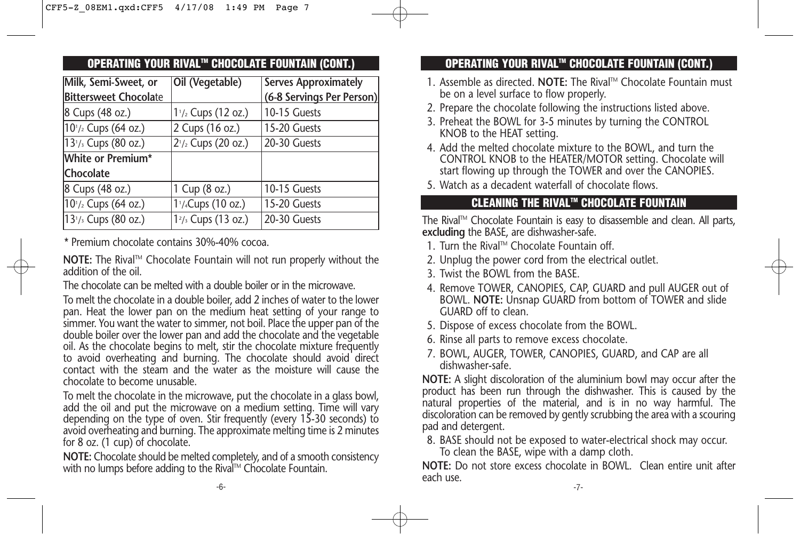| <b>OPERATING YOUR RIVAL™ CHOCOLATE FOUNTAIN (CONT.)</b> |                                             |                             |  |  |
|---------------------------------------------------------|---------------------------------------------|-----------------------------|--|--|
| Milk, Semi-Sweet, or                                    | Oil (Vegetable)                             | <b>Serves Approximately</b> |  |  |
| <b>Bittersweet Chocolate</b>                            |                                             | (6-8 Servings Per Person)   |  |  |
| 8 Cups (48 oz.)                                         | 1 <sup>1</sup> / <sub>2</sub> Cups (12 oz.) | 10-15 Guests                |  |  |
| $10^{1/2}$ Cups (64 oz.)                                | 2 Cups (16 oz.)                             | 15-20 Guests                |  |  |
| 13 <sup>1</sup> / <sub>3</sub> Cups (80 oz.)            | $2^{1/2}$ Cups (20 oz.)                     | 20-30 Guests                |  |  |
| White or Premium*                                       |                                             |                             |  |  |
| Chocolate                                               |                                             |                             |  |  |
| 8 Cups (48 oz.)                                         | 1 Cup (8 oz.)                               | 10-15 Guests                |  |  |
| $10^{1/2}$ Cups (64 oz.)                                | 1 <sup>1</sup> / <sub>4</sub> Cups (10 oz.) | 15-20 Guests                |  |  |
| $13^{1/3}$ Cups (80 oz.)                                | $12/3$ Cups (13 oz.)                        | 20-30 Guests                |  |  |

\* Premium chocolate contains 30%-40% cocoa.

**NOTE:** The Rival™ Chocolate Fountain will not run properly without the addition of the oil.

The chocolate can be melted with a double boiler or in the microwave.

To melt the chocolate in a double boiler, add 2 inches of water to the lower pan. Heat the lower pan on the medium heat setting of your range to simmer. You want the water to simmer, not boil. Place the upper pan of the double boiler over the lower pan and add the chocolate and the vegetable oil. As the chocolate begins to melt, stir the chocolate mixture frequently to avoid overheating and burning. The chocolate should avoid direct contact with the steam and the water as the moisture will cause the chocolate to become unusable.

To melt the chocolate in the microwave, put the chocolate in a glass bowl, add the oil and put the microwave on a medium setting. Time will vary depending on the type of oven. Stir frequently (every 15-30 seconds) to avoid overheating and burning. The approximate melting time is 2 minutes for 8 oz. (1 cup) of chocolate.

**NOTE:** Chocolate should be melted completely, and of a smooth consistency with no lumps before adding to the Rival™ Chocolate Fountain.

### **OPERATING YOUR RIVALTM CHOCOLATE FOUNTAIN (CONT.)**

- 1. Assemble as directed. **NOTE:** The Rival™ Chocolate Fountain must be on a level surface to flow properly.
- 2. Prepare the chocolate following the instructions listed above.
- 3. Preheat the BOWL for 3-5 minutes by turning the CONTROL KNOB to the HEAT setting.
- 4. Add the melted chocolate mixture to the BOWL, and turn the CONTROL KNOB to the HEATER/MOTOR setting. Chocolate will start flowing up through the TOWER and over the CANOPIES.
- 5. Watch as a decadent waterfall of chocolate flows.

#### **CLEANING THE RIVALTM CHOCOLATE FOUNTAIN**

The Rival™ Chocolate Fountain is easy to disassemble and clean. All parts, **excluding** the BASE, are dishwasher-safe.

- 1. Turn the Rival™ Chocolate Fountain off.
- 2. Unplug the power cord from the electrical outlet.
- 3. Twist the BOWL from the BASE.
- 4. Remove TOWER, CANOPIES, CAP, GUARD and pull AUGER out of BOWL. **NOTE:** Unsnap GUARD from bottom of TOWER and slide GUARD off to clean.
- 5. Dispose of excess chocolate from the BOWL.
- 6. Rinse all parts to remove excess chocolate.
- 7. BOWL, AUGER, TOWER, CANOPIES, GUARD, and CAP are all dishwasher-safe.

**NOTE:** A slight discoloration of the aluminium bowl may occur after the product has been run through the dishwasher. This is caused by the natural properties of the material, and is in no way harmful. The discoloration can be removed by gently scrubbing the area with a scouring pad and detergent.

8. BASE should not be exposed to water-electrical shock may occur.

To clean the BASE, wipe with a damp cloth.

**NOTE:** Do not store excess chocolate in BOWL. Clean entire unit after each use.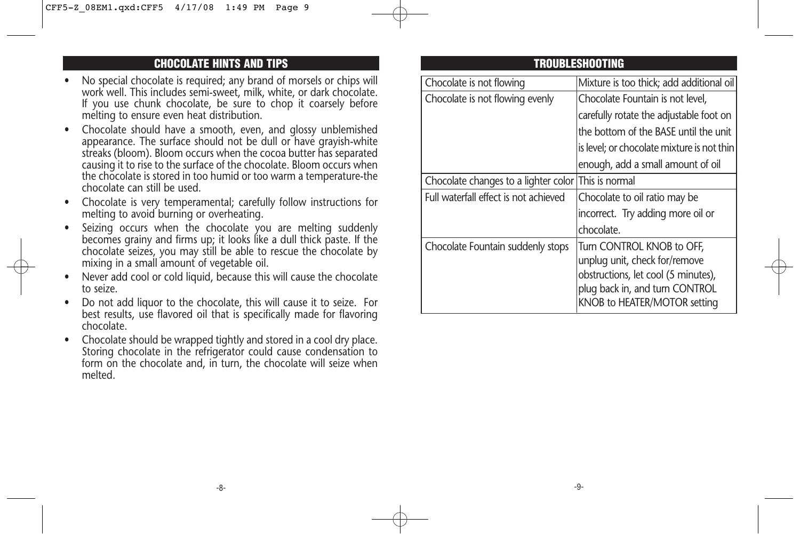#### **CHOCOLATE HINTS AND TIPS**

- No special chocolate is required; any brand of morsels or chips will work well. This includes semi-sweet, milk, white, or dark chocolate. If you use chunk chocolate, be sure to chop it coarsely before melting to ensure even heat distribution.
- Chocolate should have a smooth, even, and glossy unblemished appearance. The surface should not be dull or have grayish-white streaks (bloom). Bloom occurs when the cocoa butter has separated causing it to rise to the surface of the chocolate. Bloom occurs when the chocolate is stored in too humid or too warm a temperature-the chocolate can still be used.
- Chocolate is very temperamental; carefully follow instructions for melting to avoid burning or overheating.
- Seizing occurs when the chocolate you are melting suddenly becomes grainy and firms up; it looks like a dull thick paste. If the chocolate seizes, you may still be able to rescue the chocolate by mixing in a small amount of vegetable oil.
- Never add cool or cold liquid, because this will cause the chocolate to seize.
- Do not add liquor to the chocolate, this will cause it to seize. For best results, use flavored oil that is specifically made for flavoring chocolate.
- Chocolate should be wrapped tightly and stored in a cool dry place. Storing chocolate in the refrigerator could cause condensation to form on the chocolate and, in turn, the chocolate will seize when melted.

#### **TROUBLESHOOTING**

| Chocolate is not flowing                            | Mixture is too thick; add additional oil                                                                                                                            |
|-----------------------------------------------------|---------------------------------------------------------------------------------------------------------------------------------------------------------------------|
| Chocolate is not flowing evenly                     | Chocolate Fountain is not level,                                                                                                                                    |
|                                                     | carefully rotate the adjustable foot on                                                                                                                             |
|                                                     | the bottom of the BASE until the unit                                                                                                                               |
|                                                     | is level; or chocolate mixture is not thin                                                                                                                          |
|                                                     | enough, add a small amount of oil                                                                                                                                   |
| Chocolate changes to a lighter color This is normal |                                                                                                                                                                     |
| Full waterfall effect is not achieved               | Chocolate to oil ratio may be                                                                                                                                       |
|                                                     | incorrect. Try adding more oil or                                                                                                                                   |
|                                                     | chocolate.                                                                                                                                                          |
| Chocolate Fountain suddenly stops                   | Turn CONTROL KNOB to OFF,<br>unplug unit, check for/remove<br>obstructions, let cool (5 minutes),<br>plug back in, and turn CONTROL<br>KNOB to HEATER/MOTOR setting |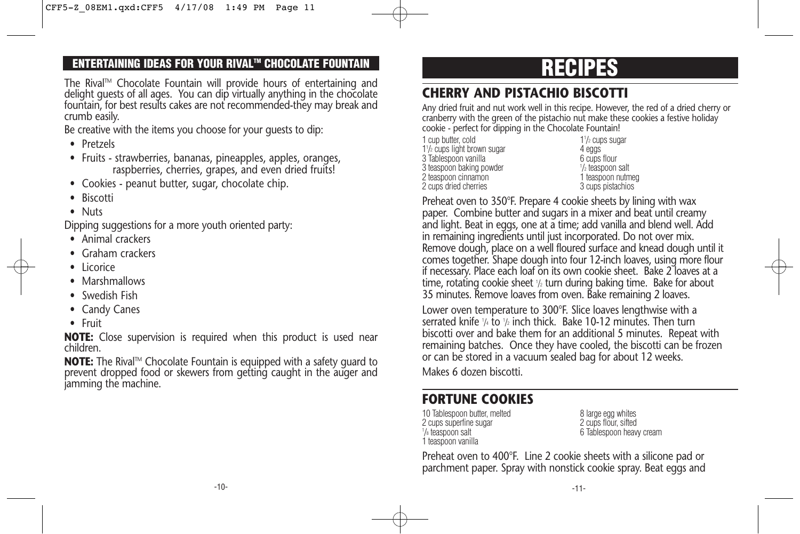### **ENTERTAINING IDEAS FOR YOUR RIVALTM CHOCOLATE FOUNTAIN**

The Rival™ Chocolate Fountain will provide hours of entertaining and delight guests of all ages. You can dip virtually anything in the chocolate fountain, for best results cakes are not recommended-they may break and crumb easily.

Be creative with the items you choose for your guests to dip:

- Pretzels
- Fruits strawberries, bananas, pineapples, apples, oranges, raspberries, cherries, grapes, and even dried fruits!
- Cookies peanut butter, sugar, chocolate chip.
- Biscotti
- Nuts

Dipping suggestions for a more youth oriented party:

- Animal crackers
- Graham crackers
- Licorice
- Marshmallows
- Swedish Fish
- Candy Canes
- Fruit

**NOTE:** Close supervision is required when this product is used near children.

**NOTE:** The Rival™ Chocolate Fountain is equipped with a safety quard to prevent dropped food or skewers from getting caught in the auger and jamming the machine.

# **RECIPES**

## **CHERRY AND PISTACHIO BISCOTTI**

Any dried fruit and nut work well in this recipe. However, the red of a dried cherry or cranberry with the green of the pistachio nut make these cookies a festive holiday cookie - perfect for dipping in the Chocolate Fountain!

| 1 cup butter, cold                                   |     |
|------------------------------------------------------|-----|
| 1 <sup>1</sup> / <sub>2</sub> cups light brown sugar |     |
| 3 Tablespoon vanilla                                 | 6   |
| 3 teaspoon baking powder                             | 1/2 |
| 2 teaspoon cinnamon                                  |     |
| 2 cups dried cherries                                |     |
|                                                      |     |

 $1\frac{1}{2}$  cups sugar 4 eggs 6 cups flour /2 teaspoon salt 1 teaspoon nutmeg 3 cups pistachios

Preheat oven to 350°F. Prepare 4 cookie sheets by lining with wax paper. Combine butter and sugars in a mixer and beat until creamy and light. Beat in eggs, one at a time; add vanilla and blend well. Add in remaining ingredients until just incorporated. Do not over mix. Remove dough, place on a well floured surface and knead dough until it comes together. Shape dough into four 12-inch loaves, using more flour if necessary. Place each loaf on its own cookie sheet. Bake 2 loaves at a time, rotating cookie sheet 1/2 turn during baking time. Bake for about 35 minutes. Remove loaves from oven. Bake remaining 2 loaves.

Lower oven temperature to 300°F. Slice loaves lengthwise with a serrated knife 1/4 to 1/2 inch thick. Bake 10-12 minutes. Then turn biscotti over and bake them for an additional 5 minutes. Repeat with remaining batches. Once they have cooled, the biscotti can be frozen or can be stored in a vacuum sealed bag for about 12 weeks.

Makes 6 dozen biscotti.

## **FORTUNE COOKIES**

10 Tablespoon butter, melted 8 large egg whites<br>
2 cups superfine sugar 8 2 cups flour, sifted 2 cups superfine sugar 1/8 teaspoon salt 1 teaspoon vanilla

6 Tablespoon heavy cream

Preheat oven to 400°F. Line 2 cookie sheets with a silicone pad or parchment paper. Spray with nonstick cookie spray. Beat eggs and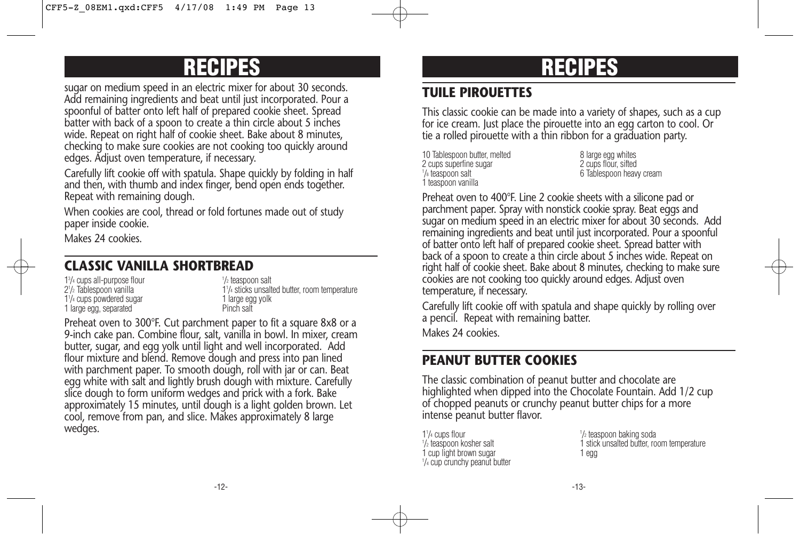# **RECIPES**

sugar on medium speed in an electric mixer for about 30 seconds. Add remaining ingredients and beat until just incorporated. Pour a spoonful of batter onto left half of prepared cookie sheet. Spread batter with back of a spoon to create a thin circle about 5 inches wide. Repeat on right half of cookie sheet. Bake about 8 minutes, checking to make sure cookies are not cooking too quickly around edges. Adjust oven temperature, if necessary.

Carefully lift cookie off with spatula. Shape quickly by folding in half and then, with thumb and index finger, bend open ends together. Repeat with remaining dough.

When cookies are cool, thread or fold fortunes made out of study paper inside cookie.

Makes 24 cookies.

### **CLASSIC VANILLA SHORTBREAD**

 $1<sup>3</sup>/<sub>4</sub>$  cups all-purpose flour  $1<sup>1</sup>$ 21 /2 Tablespoon vanilla 11 1<sup>1</sup>/<sub>4</sub> cups powdered sugar 11/<sub>4</sub> cups powdered sugar 1 large egg, separated

<sup>1</sup>/<sub>2</sub> teaspoon salt 1<sup>1</sup>/<sub>4</sub> sticks unsalted butter, room temperature<br>1 large egg yolk<br>Pinch salt

Preheat oven to 300°F. Cut parchment paper to fit a square 8x8 or a 9-inch cake pan. Combine flour, salt, vanilla in bowl. In mixer, cream butter, sugar, and egg yolk until light and well incorporated. Add flour mixture and blend. Remove dough and press into pan lined with parchment paper. To smooth dough, roll with jar or can. Beat egg white with salt and lightly brush dough with mixture. Carefully slice dough to form uniform wedges and prick with a fork. Bake approximately 15 minutes, until dough is a light golden brown. Let cool, remove from pan, and slice. Makes approximately 8 large wedges.

# **RECIPES**

## **TUILE PIROUETTES**

This classic cookie can be made into a variety of shapes, such as a cup for ice cream. Just place the pirouette into an egg carton to cool. Or tie a rolled pirouette with a thin ribbon for a graduation party.

10 Tablespoon butter, melted and the second value of 8 large egg whites<br>1 and 8 cups superfine sugar 2 cups superfine sugar 1/<sub>8</sub> teaspoon salt 1 teaspoon vanilla

6 Tablespoon heavy cream

Preheat oven to 400°F. Line 2 cookie sheets with a silicone pad or parchment paper. Spray with nonstick cookie spray. Beat eggs and sugar on medium speed in an electric mixer for about 30 seconds. Add remaining ingredients and beat until just incorporated. Pour a spoonful of batter onto left half of prepared cookie sheet. Spread batter with back of a spoon to create a thin circle about 5 inches wide. Repeat on right half of cookie sheet. Bake about 8 minutes, checking to make sure cookies are not cooking too quickly around edges. Adjust oven temperature, if necessary.

Carefully lift cookie off with spatula and shape quickly by rolling over a pencil. Repeat with remaining batter. Makes 24 cookies.

### **PEANUT BUTTER COOKIES**

The classic combination of peanut butter and chocolate are highlighted when dipped into the Chocolate Fountain. Add 1/2 cup of chopped peanuts or crunchy peanut butter chips for a more intense peanut butter flavor.

| $1\frac{1}{4}$ cups flour               | $\frac{1}{2}$ tea |
|-----------------------------------------|-------------------|
| 1/2 teaspoon kosher salt                | 1 stic            |
| 1 cup light brown sugar                 | 1 egg             |
| $\frac{1}{4}$ cup crunchy peanut butter |                   |

<sup>1</sup>/<sub>2</sub> teaspoon baking soda 1 stick unsalted butter, room temperature